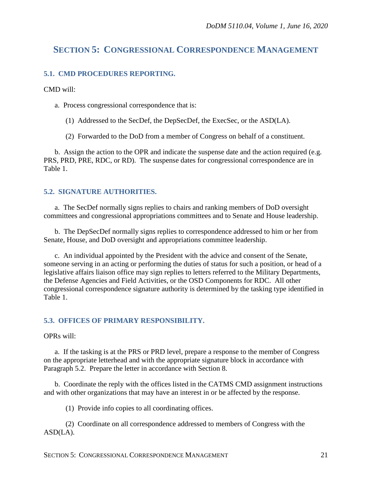# **SECTION 5: CONGRESSIONAL CORRESPONDENCE MANAGEMENT**

### **5.1. CMD PROCEDURES REPORTING.**

CMD will:

a. Process congressional correspondence that is:

- (1) Addressed to the SecDef, the DepSecDef, the ExecSec, or the ASD(LA).
- (2) Forwarded to the DoD from a member of Congress on behalf of a constituent.

b. Assign the action to the OPR and indicate the suspense date and the action required (e.g. PRS, PRD, PRE, RDC, or RD). The suspense dates for congressional correspondence are in Table 1.

## **5.2. SIGNATURE AUTHORITIES.**

a. The SecDef normally signs replies to chairs and ranking members of DoD oversight committees and congressional appropriations committees and to Senate and House leadership.

b. The DepSecDef normally signs replies to correspondence addressed to him or her from Senate, House, and DoD oversight and appropriations committee leadership.

c. An individual appointed by the President with the advice and consent of the Senate, someone serving in an acting or performing the duties of status for such a position, or head of a legislative affairs liaison office may sign replies to letters referred to the Military Departments, the Defense Agencies and Field Activities, or the OSD Components for RDC. All other congressional correspondence signature authority is determined by the tasking type identified in Table 1.

### **5.3. OFFICES OF PRIMARY RESPONSIBILITY.**

OPRs will:

a. If the tasking is at the PRS or PRD level, prepare a response to the member of Congress on the appropriate letterhead and with the appropriate signature block in accordance with Paragraph 5.2. Prepare the letter in accordance with Section 8.

b. Coordinate the reply with the offices listed in the CATMS CMD assignment instructions and with other organizations that may have an interest in or be affected by the response.

(1) Provide info copies to all coordinating offices.

(2) Coordinate on all correspondence addressed to members of Congress with the ASD(LA).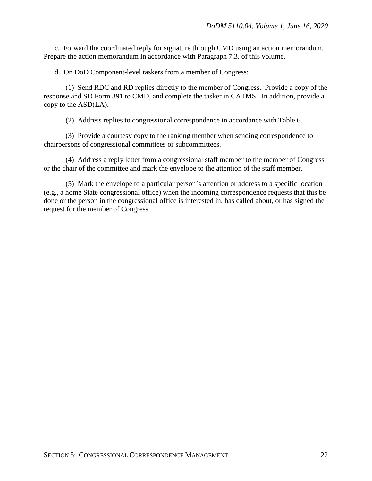c. Forward the coordinated reply for signature through CMD using an action memorandum. Prepare the action memorandum in accordance with Paragraph 7.3. of this volume.

d. On DoD Component-level taskers from a member of Congress:

(1) Send RDC and RD replies directly to the member of Congress. Provide a copy of the response and SD Form 391 to CMD, and complete the tasker in CATMS. In addition, provide a copy to the ASD(LA).

(2) Address replies to congressional correspondence in accordance with Table 6.

(3) Provide a courtesy copy to the ranking member when sending correspondence to chairpersons of congressional committees or subcommittees.

(4) Address a reply letter from a congressional staff member to the member of Congress or the chair of the committee and mark the envelope to the attention of the staff member.

(5) Mark the envelope to a particular person's attention or address to a specific location (e.g., a home State congressional office) when the incoming correspondence requests that this be done or the person in the congressional office is interested in, has called about, or has signed the request for the member of Congress.